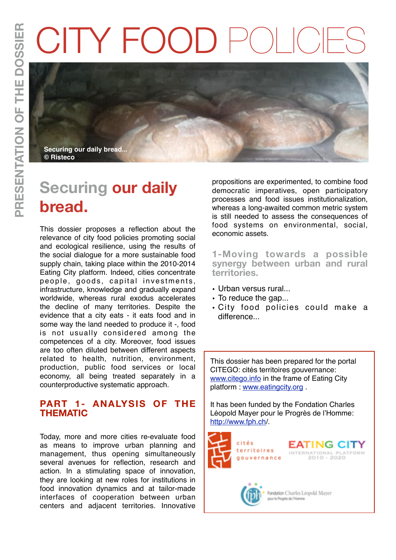# CITY FOOD



# **Securing our daily bread.**

This dossier proposes a reflection about the relevance of city food policies promoting social and ecological resilience, using the results of the social dialogue for a more sustainable food supply chain, taking place within the 2010-2014 Eating City platform. Indeed, cities concentrate people, goods, capital investments, infrastructure, knowledge and gradually expand worldwide, whereas rural exodus accelerates the decline of many territories. Despite the evidence that a city eats - it eats food and in some way the land needed to produce it -, food is not usually considered among the competences of a city. Moreover, food issues are too often diluted between different aspects related to health, nutrition, environment, production, public food services or local economy, all being treated separately in a counterproductive systematic approach.

## **PART 1- ANALYSIS OF THE THEMATIC**

Today, more and more cities re-evaluate food as means to improve urban planning and management, thus opening simultaneously several avenues for reflection, research and action. In a stimulating space of innovation, they are looking at new roles for institutions in food innovation dynamics and at tailor-made interfaces of cooperation between urban centers and adjacent territories. Innovative

propositions are experimented, to combine food democratic imperatives, open participatory processes and food issues institutionalization, whereas a long-awaited common metric system is still needed to assess the consequences of food systems on environmental, social, economic assets.

**1-Moving towards a possible synergy between urban and rural territories.** 

- Urban versus rural...<br>• To reduce the gap...
- 
- City food policies could make a difference...

This dossier has been prepared for the portal CITEGO: cités territoires gouvernance: [www.citego.info](http://www.citego.info) in the frame of Eating City platform : [www.eatingcity.org](http://www.eatingcity.org) .

It has been funded by the Fondation Charles Léopold Mayer pour le Progrès de l'Homme: [http://www.fph.ch/](http://www.fph.ch).

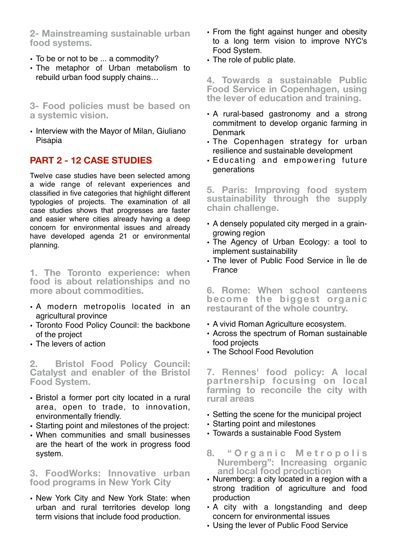**2- Mainstreaming sustainable urban food systems.**

- To be or not to be ... a commodity?
- The metaphor of Urban metabolism to rebuild urban food supply chains…

**3- Food policies must be based on a systemic vision.**

• Interview with the Mayor of Milan, Giuliano Pisapia

# **PART 2 - 12 CASE STUDIES**

Twelve case studies have been selected among a wide range of relevant experiences and classified in five categories that highlight different typologies of projects. The examination of all case studies shows that progresses are faster and easier where cities already having a deep concern for environmental issues and already have developed agenda 21 or environmental planning.

**1. The Toronto experience: when food is about relationships and no more about commodities.** 

- A modern metropolis located in an agricultural province
- Toronto Food Policy Council: the backbone of the project
- The levers of action

**2. Bristol Food Policy Council: Catalyst and enabler of the Bristol Food System.**

- Bristol a former port city located in a rural area, open to trade, to innovation, environmentally friendly.
- Starting point and milestones of the project:
- When communities and small businesses are the heart of the work in progress food system.

### **3. FoodWorks: Innovative urban food programs in New York City**

• New York City and New York State: when urban and rural territories develop long term visions that include food production.

- From the fight against hunger and obesity to a long term vision to improve NYC's Food System.
- The role of public plate.

**4. Towards a sustainable Public Food Service in Copenhagen, using the lever of education and training.** 

- A rural-based gastronomy and a strong commitment to develop organic farming in **Denmark**
- The Copenhagen strategy for urban resilience and sustainable development
- Educating and empowering future generations

**5. Paris: Improving food system sustainability through the supply chain challenge.**

- A densely populated city merged in a graingrowing region
- The Agency of Urban Ecology: a tool to implement sustainability
- The lever of Public Food Service in Île de France

**6. Rome: When school canteens become the biggest organic restaurant of the whole country.** 

- A vivid Roman Agriculture ecosystem.
- Across the spectrum of Roman sustainable food projects
- The School Food Revolution

**7. Rennes' food policy: A local partnership focusing on local farming to reconcile the city with rural areas**

- Setting the scene for the municipal project
- Starting point and milestones
- Towards a sustainable Food System
- **8. " O r g a n i c M e t r o p o l i s Nuremberg": Increasing organic and local food production**
- Nuremberg: a city located in a region with a strong tradition of agriculture and food production
- A city with a longstanding and deep concern for environmental issues
- Using the lever of Public Food Service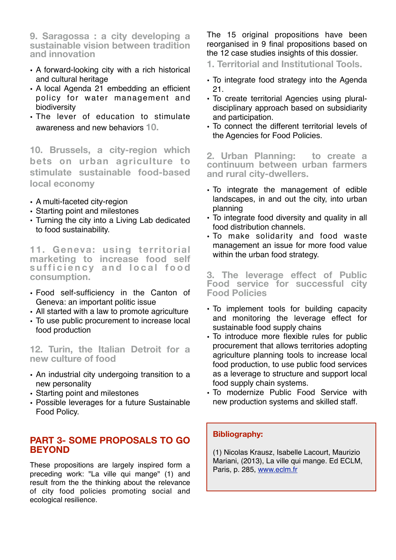**9. Saragossa : a city developing a sustainable vision between tradition and innovation**

- A forward-looking city with a rich historical and cultural heritage
- A local Agenda 21 embedding an efficient policy for water management and biodiversity
- The lever of education to stimulate awareness and new behaviors **10.**

**10. Brussels, a city-region which bets on urban agriculture to stimulate sustainable food-based local economy**

- A multi-faceted city-region
- Starting point and milestones
- Turning the city into a Living Lab dedicated to food sustainability.

**11. Geneva: using territorial marketing to increase food self**  sufficiency and local food **consumption.**

- Food self-sufficiency in the Canton of Geneva: an important politic issue
- All started with a law to promote agriculture
- To use public procurement to increase local food production

**12. Turin, the Italian Detroit for a new culture of food**

- An industrial city undergoing transition to a new personality
- Starting point and milestones
- Possible leverages for a future Sustainable Food Policy.

## **PART 3- SOME PROPOSALS TO GO BEYOND**

These propositions are largely inspired form a preceding work: "La ville qui mange" (1) and result from the the thinking about the relevance of city food policies promoting social and ecological resilience.

The 15 original propositions have been reorganised in 9 final propositions based on the 12 case studies insights of this dossier.

**1. Territorial and Institutional Tools.**

- To integrate food strategy into the Agenda 21.
- To create territorial Agencies using pluraldisciplinary approach based on subsidiarity and participation.
- To connect the different territorial levels of the Agencies for Food Policies.

**2. Urban Planning: to create a continuum between urban farmers and rural city-dwellers.**

- To integrate the management of edible landscapes, in and out the city, into urban planning
- To integrate food diversity and quality in all food distribution channels.
- To make solidarity and food waste management an issue for more food value within the urban food strategy.

**3. The leverage effect of Public Food service for successful city Food Policies**

- To implement tools for building capacity and monitoring the leverage effect for sustainable food supply chains
- To introduce more flexible rules for public procurement that allows territories adopting agriculture planning tools to increase local food production, to use public food services as a leverage to structure and support local food supply chain systems.
- To modernize Public Food Service with new production systems and skilled staff.

#### **Bibliography:**

(1) Nicolas Krausz, Isabelle Lacourt, Maurizio Mariani, (2013), La ville qui mange. Ed ECLM, Paris, p. 285, [www.eclm.fr](http://www.eclm.fr)